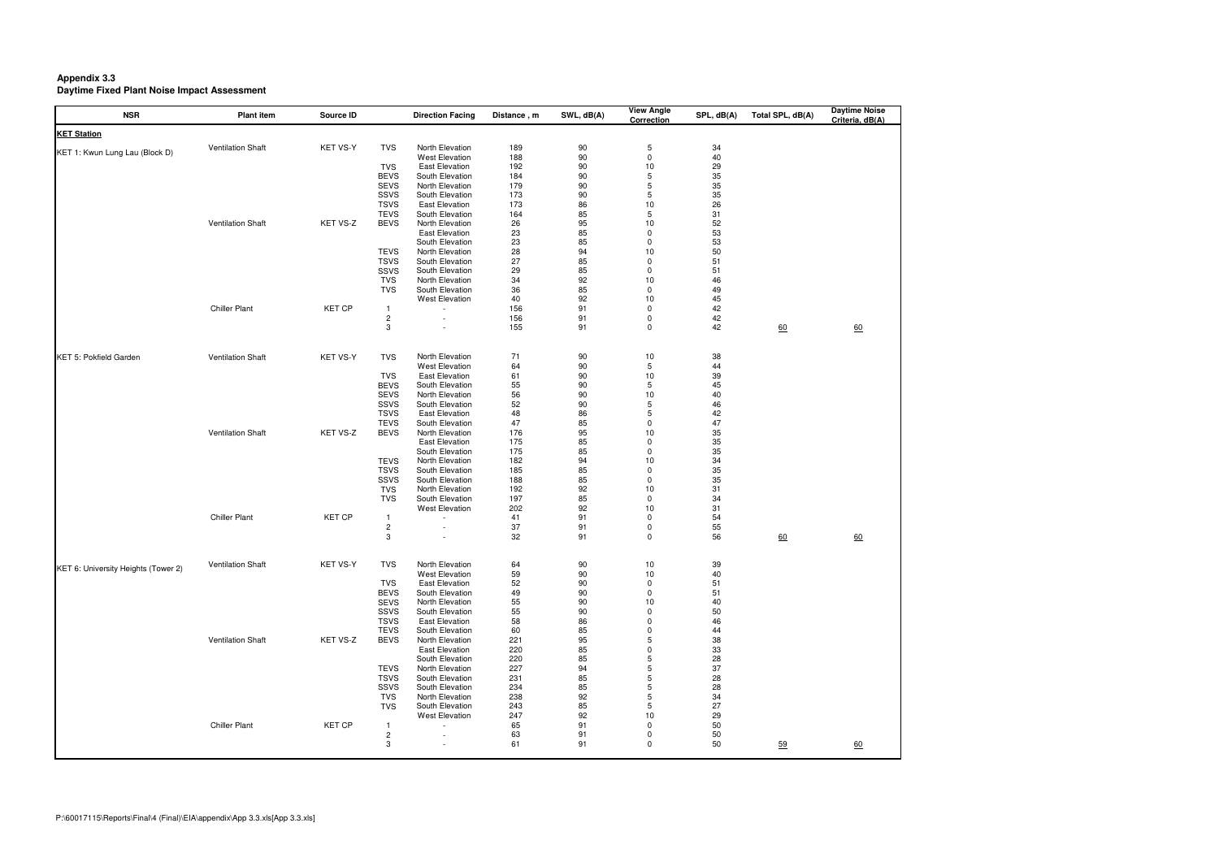## **Appendix 3.3 Daytime Fixed Plant Noise Impact Assessment**

| <b>NSR</b>                          | <b>Plant item</b>        | Source ID     |                              | <b>Direction Facing</b>            | Distance, m | SWL, dB(A) | <b>View Angle</b><br><b>Correction</b> | SPL, dB(A) | Total SPL, dB(A) | <b>Daytime Noise</b><br>Criteria, dB(A) |
|-------------------------------------|--------------------------|---------------|------------------------------|------------------------------------|-------------|------------|----------------------------------------|------------|------------------|-----------------------------------------|
| <b>KET Station</b>                  |                          |               |                              |                                    |             |            |                                        |            |                  |                                         |
| KET 1: Kwun Lung Lau (Block D)      | Ventilation Shaft        | KET VS-Y      | <b>TVS</b>                   | North Elevation                    | 189         | 90         | 5                                      | 34         |                  |                                         |
|                                     |                          |               |                              | <b>West Elevation</b>              | 188         | 90         | 0                                      | 40         |                  |                                         |
|                                     |                          |               | <b>TVS</b>                   | East Elevation                     | 192         | 90         | 10                                     | 29         |                  |                                         |
|                                     |                          |               | <b>BEVS</b>                  | South Elevation                    | 184         | 90         | 5                                      | 35         |                  |                                         |
|                                     |                          |               | <b>SEVS</b><br>SSVS          | North Elevation<br>South Elevation | 179<br>173  | 90<br>90   | 5<br>5                                 | 35<br>35   |                  |                                         |
|                                     |                          |               | <b>TSVS</b>                  | <b>East Elevation</b>              | 173         | 86         | 10                                     | 26         |                  |                                         |
|                                     |                          |               | <b>TEVS</b>                  | South Elevation                    | 164         | 85         | 5                                      | 31         |                  |                                         |
|                                     | Ventilation Shaft        | KET VS-Z      | <b>BEVS</b>                  | North Elevation                    | 26          | 95         | 10                                     | 52         |                  |                                         |
|                                     |                          |               |                              | <b>East Elevation</b>              | 23          | 85         | 0                                      | 53         |                  |                                         |
|                                     |                          |               |                              | South Elevation                    | 23          | 85         | 0                                      | 53         |                  |                                         |
|                                     |                          |               | <b>TEVS</b>                  | North Elevation                    | 28          | 94         | 10                                     | 50         |                  |                                         |
|                                     |                          |               | <b>TSVS</b>                  | South Elevation                    | 27          | 85         | 0                                      | 51         |                  |                                         |
|                                     |                          |               | SSVS                         | South Elevation                    | 29          | 85         | 0                                      | 51         |                  |                                         |
|                                     |                          |               | <b>TVS</b>                   | North Elevation                    | 34          | 92         | 10                                     | 46         |                  |                                         |
|                                     |                          |               | <b>TVS</b>                   | South Elevation                    | 36          | 85         | 0                                      | 49         |                  |                                         |
|                                     |                          |               |                              | <b>West Elevation</b>              | 40          | 92         | 10                                     | 45         |                  |                                         |
|                                     | <b>Chiller Plant</b>     | <b>KET CP</b> | $\mathbf{1}$                 |                                    | 156         | 91         | $\Omega$                               | 42         |                  |                                         |
|                                     |                          |               | $\overline{\mathbf{c}}$<br>3 | $\overline{\phantom{a}}$           | 156<br>155  | 91<br>91   | 0<br>0                                 | 42<br>42   |                  |                                         |
|                                     |                          |               |                              |                                    |             |            |                                        |            | 60               | 60                                      |
| KET 5: Pokfield Garden              | Ventilation Shaft        | KET VS-Y      | <b>TVS</b>                   | North Elevation                    | 71          | 90         | 10                                     | 38         |                  |                                         |
|                                     |                          |               |                              | <b>West Elevation</b>              | 64          | 90         | 5                                      | 44         |                  |                                         |
|                                     |                          |               | <b>TVS</b>                   | <b>East Elevation</b>              | 61          | 90         | 10                                     | 39         |                  |                                         |
|                                     |                          |               | <b>BEVS</b>                  | South Elevation                    | 55          | 90         | 5                                      | 45         |                  |                                         |
|                                     |                          |               | <b>SEVS</b>                  | North Elevation                    | 56          | 90         | 10                                     | 40         |                  |                                         |
|                                     |                          |               | SSVS                         | South Elevation                    | 52          | 90         | 5                                      | 46         |                  |                                         |
|                                     |                          |               | <b>TSVS</b>                  | <b>East Elevation</b>              | 48          | 86         | 5                                      | 42         |                  |                                         |
|                                     |                          |               | <b>TEVS</b>                  | South Elevation                    | 47          | 85         | 0                                      | 47         |                  |                                         |
|                                     | Ventilation Shaft        | KET VS-Z      | <b>BEVS</b>                  | North Elevation                    | 176         | 95         | 10                                     | 35         |                  |                                         |
|                                     |                          |               |                              | <b>East Elevation</b>              | 175         | 85         | 0                                      | 35         |                  |                                         |
|                                     |                          |               |                              | South Elevation                    | 175         | 85         | 0                                      | 35         |                  |                                         |
|                                     |                          |               | <b>TEVS</b><br><b>TSVS</b>   | North Elevation<br>South Elevation | 182<br>185  | 94<br>85   | 10<br>0                                | 34         |                  |                                         |
|                                     |                          |               | SSVS                         | South Elevation                    | 188         | 85         | 0                                      | 35<br>35   |                  |                                         |
|                                     |                          |               | <b>TVS</b>                   | North Elevation                    | 192         | 92         | 10                                     | 31         |                  |                                         |
|                                     |                          |               | <b>TVS</b>                   | South Elevation                    | 197         | 85         | 0                                      | 34         |                  |                                         |
|                                     |                          |               |                              | <b>West Elevation</b>              | 202         | 92         | 10                                     | 31         |                  |                                         |
|                                     | <b>Chiller Plant</b>     | <b>KET CP</b> | $\mathbf{1}$                 | $\overline{\phantom{a}}$           | 41          | 91         | $\Omega$                               | 54         |                  |                                         |
|                                     |                          |               | $\overline{\mathbf{c}}$      | $\overline{\phantom{a}}$           | 37          | 91         | 0                                      | 55         |                  |                                         |
|                                     |                          |               | 3                            | $\overline{\phantom{a}}$           | 32          | 91         | 0                                      | 56         | 60               | $\underline{60}$                        |
|                                     |                          |               |                              |                                    |             |            |                                        |            |                  |                                         |
| KET 6: University Heights (Tower 2) | <b>Ventilation Shaft</b> | KET VS-Y      | <b>TVS</b>                   | North Elevation                    | 64          | 90         | $10\,$                                 | 39         |                  |                                         |
|                                     |                          |               |                              | <b>West Elevation</b>              | 59          | 90         | 10                                     | 40         |                  |                                         |
|                                     |                          |               | <b>TVS</b>                   | <b>East Elevation</b>              | 52          | 90         | 0                                      | 51         |                  |                                         |
|                                     |                          |               | <b>BEVS</b>                  | South Elevation<br>North Elevation | 49          | 90         | 0                                      | 51         |                  |                                         |
|                                     |                          |               | <b>SEVS</b><br>SSVS          | South Elevation                    | 55<br>55    | 90<br>90   | 10<br>0                                | 40<br>50   |                  |                                         |
|                                     |                          |               | <b>TSVS</b>                  | <b>East Elevation</b>              | 58          | 86         | 0                                      | 46         |                  |                                         |
|                                     |                          |               | <b>TEVS</b>                  | South Elevation                    | 60          | 85         | 0                                      | 44         |                  |                                         |
|                                     | <b>Ventilation Shaft</b> | KET VS-Z      | <b>BEVS</b>                  | North Elevation                    | 221         | 95         | 5                                      | 38         |                  |                                         |
|                                     |                          |               |                              | <b>East Elevation</b>              | 220         | 85         | 0                                      | 33         |                  |                                         |
|                                     |                          |               |                              | South Elevation                    | 220         | 85         | 5                                      | 28         |                  |                                         |
|                                     |                          |               | <b>TEVS</b>                  | North Elevation                    | 227         | 94         | 5                                      | 37         |                  |                                         |
|                                     |                          |               | <b>TSVS</b>                  | South Elevation                    | 231         | 85         | 5                                      | 28         |                  |                                         |
|                                     |                          |               | SSVS                         | South Elevation                    | 234         | 85         | 5                                      | 28         |                  |                                         |
|                                     |                          |               | <b>TVS</b>                   | North Elevation                    | 238         | 92         | 5                                      | 34         |                  |                                         |
|                                     |                          |               | <b>TVS</b>                   | South Elevation                    | 243         | 85         | 5                                      | 27         |                  |                                         |
|                                     |                          |               |                              | <b>West Elevation</b>              | 247         | 92         | 10                                     | 29         |                  |                                         |
|                                     | <b>Chiller Plant</b>     | <b>KET CP</b> | -1                           |                                    | 65          | 91         | 0                                      | 50         |                  |                                         |
|                                     |                          |               | $\overline{c}$               |                                    | 63          | 91         | 0                                      | 50         |                  |                                         |
|                                     |                          |               | 3                            |                                    | 61          | 91         | 0                                      | 50         | $\frac{59}{5}$   | 60                                      |
|                                     |                          |               |                              |                                    |             |            |                                        |            |                  |                                         |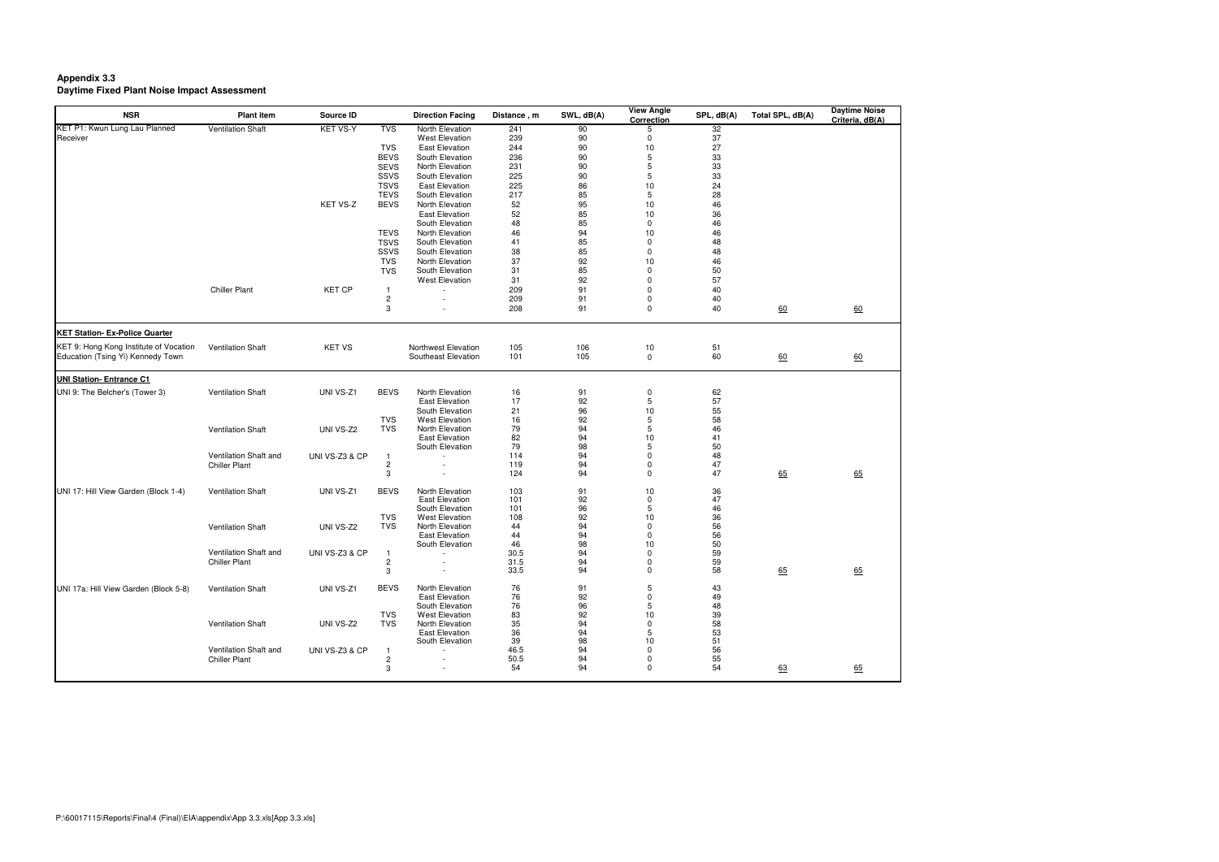## **Appendix 3.3 Daytime Fixed Plant Noise Impact Assessment**

| <b>NSR</b>                             | <b>Plant item</b>        | Source ID       |                         | <b>Direction Facing</b> | Distance, m | SWL, dB(A) | <b>View Angle</b><br><b>Correction</b> | SPL, dB(A) | Total SPL, dB(A) | <b>Daytime Noise</b><br>Criteria, dB(A) |
|----------------------------------------|--------------------------|-----------------|-------------------------|-------------------------|-------------|------------|----------------------------------------|------------|------------------|-----------------------------------------|
| KET P1: Kwun Lung Lau Planned          | <b>Ventilation Shaft</b> | <b>KET VS-Y</b> | <b>TVS</b>              | North Elevation         | 241         | 90         | 5                                      | 32         |                  |                                         |
| Receiver                               |                          |                 |                         | <b>West Elevation</b>   | 239         | 90         | 0                                      | 37         |                  |                                         |
|                                        |                          |                 | <b>TVS</b>              | <b>East Elevation</b>   | 244         | 90         | 10                                     | 27         |                  |                                         |
|                                        |                          |                 | <b>BEVS</b>             | South Elevation         | 236         | 90         | 5                                      | 33         |                  |                                         |
|                                        |                          |                 | <b>SEVS</b>             | North Elevation         | 231         | 90         | 5                                      | $33\,$     |                  |                                         |
|                                        |                          |                 | SSVS                    | South Elevation         | 225         | 90         | 5                                      | 33         |                  |                                         |
|                                        |                          |                 | <b>TSVS</b>             | <b>East Elevation</b>   | 225         | 86         | 10                                     | 24         |                  |                                         |
|                                        |                          |                 | <b>TEVS</b>             | South Elevation         | 217         | 85         | 5                                      | 28         |                  |                                         |
|                                        |                          | KET VS-Z        | <b>BEVS</b>             | North Elevation         | 52          | 95         | 10                                     | 46         |                  |                                         |
|                                        |                          |                 |                         | <b>East Elevation</b>   | 52          | 85         | 10                                     | 36         |                  |                                         |
|                                        |                          |                 |                         | South Elevation         | 48          | 85         | $\Omega$                               | 46         |                  |                                         |
|                                        |                          |                 | <b>TEVS</b>             | North Elevation         | 46          | 94         | 10                                     | 46         |                  |                                         |
|                                        |                          |                 | <b>TSVS</b>             | South Elevation         | 41          | 85         | $\Omega$                               | 48         |                  |                                         |
|                                        |                          |                 | SSVS                    | South Elevation         | 38          | 85         | 0                                      | 48         |                  |                                         |
|                                        |                          |                 | <b>TVS</b>              | North Elevation         | 37          | 92         | 10                                     | 46         |                  |                                         |
|                                        |                          |                 | <b>TVS</b>              | South Elevation         | 31          | 85         | $\Omega$                               | $50\,$     |                  |                                         |
|                                        |                          |                 |                         | <b>West Elevation</b>   |             |            | $\Omega$                               |            |                  |                                         |
|                                        |                          |                 |                         |                         | 31          | 92         |                                        | 57         |                  |                                         |
|                                        | <b>Chiller Plant</b>     | <b>KET CP</b>   | -1                      |                         | 209         | 91         | $\Omega$                               | 40         |                  |                                         |
|                                        |                          |                 | $\overline{\mathbf{c}}$ |                         | 209         | 91         | 0                                      | 40         |                  |                                         |
|                                        |                          |                 | 3                       |                         | 208         | 91         | $\mathbf 0$                            | 40         | 60               | 60                                      |
| <b>KET Station- Ex-Police Quarter</b>  |                          |                 |                         |                         |             |            |                                        |            |                  |                                         |
| KET 9: Hong Kong Institute of Vocation | <b>Ventilation Shaft</b> | <b>KET VS</b>   |                         | Northwest Elevation     | 105         | 106        | 10                                     | 51         |                  |                                         |
| Education (Tsing Yi) Kennedy Town      |                          |                 |                         | Southeast Elevation     | 101         | 105        | $\mathbf 0$                            | 60         | 60               | 60                                      |
| <b>UNI Station- Entrance C1</b>        |                          |                 |                         |                         |             |            |                                        |            |                  |                                         |
| UNI 9: The Belcher's (Tower 3)         | <b>Ventilation Shaft</b> | UNI VS-Z1       | <b>BEVS</b>             | North Elevation         | 16          | 91         | 0                                      | 62         |                  |                                         |
|                                        |                          |                 |                         | <b>East Elevation</b>   | 17          | 92         | 5                                      | 57         |                  |                                         |
|                                        |                          |                 |                         | South Elevation         | 21          | 96         | 10                                     | 55         |                  |                                         |
|                                        |                          |                 | <b>TVS</b>              | <b>West Elevation</b>   | 16          | 92         | 5                                      | 58         |                  |                                         |
|                                        | Ventilation Shaft        | UNI VS-Z2       | <b>TVS</b>              | North Elevation         | 79          | 94         | 5                                      | 46         |                  |                                         |
|                                        |                          |                 |                         | <b>East Elevation</b>   | 82          | 94         | 10                                     | 41         |                  |                                         |
|                                        |                          |                 |                         | South Elevation         | 79          | 98         | 5                                      | 50         |                  |                                         |
|                                        | Ventilation Shaft and    | UNI VS-Z3 & CP  | -1                      |                         | 114         | 94         | 0                                      | 48         |                  |                                         |
|                                        | <b>Chiller Plant</b>     |                 | $\overline{\mathbf{c}}$ |                         | 119         | 94         | 0                                      | 47         |                  |                                         |
|                                        |                          |                 | 3                       |                         | 124         | 94         | 0                                      | 47         | 65               | 65                                      |
| UNI 17: Hill View Garden (Block 1-4)   | <b>Ventilation Shaft</b> | UNI VS-Z1       | <b>BEVS</b>             | North Elevation         | 103         | 91         | 10                                     | 36         |                  |                                         |
|                                        |                          |                 |                         | <b>East Elevation</b>   | 101         | 92         | $\mathbf 0$                            | 47         |                  |                                         |
|                                        |                          |                 |                         | South Elevation         | 101         | 96         | 5                                      | 46         |                  |                                         |
|                                        |                          |                 | <b>TVS</b>              | <b>West Elevation</b>   | 108         | 92         | 10                                     | 36         |                  |                                         |
|                                        | <b>Ventilation Shaft</b> | UNI VS-Z2       | <b>TVS</b>              | North Elevation         | 44          | 94         | 0                                      | 56         |                  |                                         |
|                                        |                          |                 |                         | <b>East Elevation</b>   | 44          | 94         | 0                                      |            |                  |                                         |
|                                        |                          |                 |                         | South Elevation         | 46          | 98         | 10                                     | 56<br>50   |                  |                                         |
|                                        | Ventilation Shaft and    | UNI VS-Z3 & CP  | -1                      |                         | 30.5        | 94         | 0                                      | 59         |                  |                                         |
|                                        | <b>Chiller Plant</b>     |                 | $\overline{\mathbf{c}}$ |                         | 31.5        | 94         | ŋ                                      | 59         |                  |                                         |
|                                        |                          |                 | $\sqrt{3}$              |                         | 33.5        | 94         | 0                                      | 58         | 65               | 65                                      |
| UNI 17a: Hill View Garden (Block 5-8)  | <b>Ventilation Shaft</b> | UNI VS-Z1       | <b>BEVS</b>             | North Elevation         | 76          | 91         | 5                                      | 43         |                  |                                         |
|                                        |                          |                 |                         | <b>East Elevation</b>   | 76          | 92         | $\Omega$                               | 49         |                  |                                         |
|                                        |                          |                 |                         | South Elevation         | 76          | 96         | 5                                      | 48         |                  |                                         |
|                                        |                          |                 | <b>TVS</b>              | <b>West Elevation</b>   | 83          | 92         | 10                                     | 39         |                  |                                         |
|                                        | <b>Ventilation Shaft</b> | UNI VS-Z2       | <b>TVS</b>              | North Elevation         | 35          | 94         | $\Omega$                               | 58         |                  |                                         |
|                                        |                          |                 |                         | <b>East Elevation</b>   | 36          | 94         | 5                                      | 53         |                  |                                         |
|                                        |                          |                 |                         | South Elevation         | 39          | 98         | 10                                     | 51         |                  |                                         |
|                                        | Ventilation Shaft and    | UNI VS-Z3 & CP  |                         |                         | 46.5        | 94         | $\Omega$                               | 56         |                  |                                         |
|                                        | <b>Chiller Plant</b>     |                 | $\overline{c}$          |                         | 50.5        | 94         | $\Omega$                               | 55         |                  |                                         |
|                                        |                          |                 | 3                       |                         | 54          | 94         | $\Omega$                               | 54         | 63               | 65                                      |
|                                        |                          |                 |                         |                         |             |            |                                        |            |                  |                                         |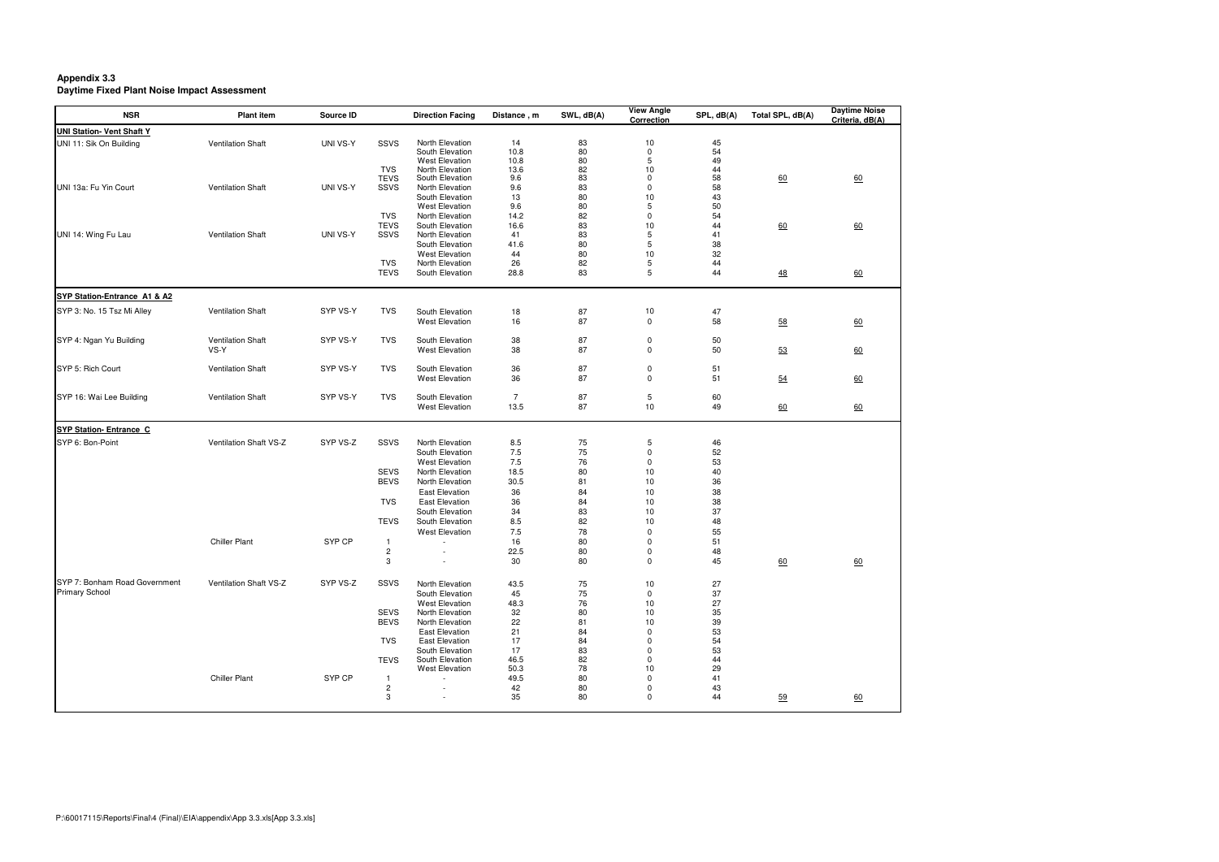## **Appendix 3.3 Daytime Fixed Plant Noise Impact Assessment**

| <b>NSR</b>                       | <b>Plant item</b>        | Source ID |                                | <b>Direction Facing</b>                  | Distance, m    | SWL, dB(A) | <b>View Angle</b><br>Correction | SPL, dB(A) | Total SPL, dB(A) | <b>Daytime Noise</b><br>Criteria, dB(A) |
|----------------------------------|--------------------------|-----------|--------------------------------|------------------------------------------|----------------|------------|---------------------------------|------------|------------------|-----------------------------------------|
| <b>UNI Station- Vent Shaft Y</b> |                          |           |                                |                                          |                |            |                                 |            |                  |                                         |
| UNI 11: Sik On Building          | Ventilation Shaft        | UNI VS-Y  | SSVS                           | North Elevation                          | 14             | 83         | 10                              | 45         |                  |                                         |
|                                  |                          |           |                                | South Elevation                          | 10.8           | 80         | $\mathbf 0$                     | 54         |                  |                                         |
|                                  |                          |           |                                | <b>West Elevation</b><br>North Elevation | 10.8           | 80         | 5                               | 49         |                  |                                         |
|                                  |                          |           | <b>TVS</b><br><b>TEVS</b>      | South Elevation                          | 13.6<br>9.6    | 82<br>83   | 10<br>0                         | 44<br>58   | 60               | 60                                      |
| UNI 13a: Fu Yin Court            | <b>Ventilation Shaft</b> | UNI VS-Y  | SSVS                           | North Elevation                          | 9.6            | 83         | $\mathbf 0$                     | 58         |                  |                                         |
|                                  |                          |           |                                | South Elevation                          | 13             | 80         | 10                              | 43         |                  |                                         |
|                                  |                          |           |                                | <b>West Elevation</b>                    | 9.6            | 80         | 5                               | 50         |                  |                                         |
|                                  |                          |           | <b>TVS</b>                     | North Elevation                          | 14.2           | 82         | 0                               | 54         |                  |                                         |
|                                  |                          |           | <b>TEVS</b>                    | South Elevation                          | 16.6           | 83         | 10                              | 44         | 60               | 60                                      |
| UNI 14: Wing Fu Lau              | <b>Ventilation Shaft</b> | UNI VS-Y  | SSVS                           | North Elevation                          | 41             | 83         | 5                               | 41         |                  |                                         |
|                                  |                          |           |                                | South Elevation                          | 41.6           | 80         | 5                               | 38         |                  |                                         |
|                                  |                          |           |                                | <b>West Elevation</b>                    | 44             | 80         | 10                              | 32         |                  |                                         |
|                                  |                          |           | <b>TVS</b>                     | North Elevation                          | 26             | 82         | 5                               | 44         |                  |                                         |
|                                  |                          |           | <b>TEVS</b>                    | South Elevation                          | 28.8           | 83         | 5                               | 44         | $\frac{48}{1}$   | 60                                      |
| SYP Station-Entrance A1 & A2     |                          |           |                                |                                          |                |            |                                 |            |                  |                                         |
| SYP 3: No. 15 Tsz Mi Alley       | <b>Ventilation Shaft</b> | SYP VS-Y  | <b>TVS</b>                     | South Elevation                          | 18             | 87         | 10                              | 47         |                  |                                         |
|                                  |                          |           |                                | <b>West Elevation</b>                    | 16             | 87         | $\mathbf 0$                     | 58         | 58               | 60                                      |
|                                  |                          |           |                                |                                          |                |            |                                 |            |                  |                                         |
| SYP 4: Ngan Yu Building          | <b>Ventilation Shaft</b> | SYP VS-Y  | <b>TVS</b>                     | South Elevation                          | 38             | 87         | 0                               | 50         |                  |                                         |
|                                  | VS-Y                     |           |                                | <b>West Elevation</b>                    | 38             | 87         | $\mathbf 0$                     | 50         | 53               | 60                                      |
|                                  |                          |           |                                |                                          |                |            |                                 |            |                  |                                         |
| SYP 5: Rich Court                | Ventilation Shaft        | SYP VS-Y  | <b>TVS</b>                     | South Elevation                          | 36             | 87         | 0                               | 51         |                  |                                         |
|                                  |                          |           |                                | <b>West Elevation</b>                    | 36             | 87         | $\mathbf 0$                     | 51         | 54               | 60                                      |
|                                  |                          |           |                                |                                          |                |            |                                 |            |                  |                                         |
| SYP 16: Wai Lee Building         | <b>Ventilation Shaft</b> | SYP VS-Y  | <b>TVS</b>                     | South Elevation                          | $\overline{7}$ | 87         | 5                               | 60         |                  |                                         |
|                                  |                          |           |                                | <b>West Elevation</b>                    | 13.5           | 87         | 10                              | 49         | 60               | $\underline{60}$                        |
| <b>SYP Station- Entrance C</b>   |                          |           |                                |                                          |                |            |                                 |            |                  |                                         |
| SYP 6: Bon-Point                 | Ventilation Shaft VS-Z   | SYP VS-Z  | SSVS                           | North Elevation                          | 8.5            | 75         | 5                               | 46         |                  |                                         |
|                                  |                          |           |                                | South Elevation                          | $7.5\,$        | $75\,$     | $\mathbf 0$                     | 52         |                  |                                         |
|                                  |                          |           |                                | <b>West Elevation</b>                    | $7.5\,$        | 76         | $\mathbf 0$                     | 53         |                  |                                         |
|                                  |                          |           | <b>SEVS</b>                    | North Elevation                          | 18.5           | 80         | 10                              | 40         |                  |                                         |
|                                  |                          |           | <b>BEVS</b>                    | North Elevation                          | 30.5           | 81         | 10                              | 36         |                  |                                         |
|                                  |                          |           |                                | <b>East Elevation</b>                    | 36             | 84         | 10                              | 38         |                  |                                         |
|                                  |                          |           | <b>TVS</b>                     | <b>East Elevation</b>                    | 36             | 84         | 10                              | 38         |                  |                                         |
|                                  |                          |           |                                | South Elevation                          | 34             | 83         | 10                              | 37         |                  |                                         |
|                                  |                          |           | <b>TEVS</b>                    | South Elevation                          | 8.5            | 82         | 10                              | 48         |                  |                                         |
|                                  |                          |           |                                | <b>West Elevation</b>                    | $7.5$          | 78         | $\mathbf 0$                     | 55         |                  |                                         |
|                                  | <b>Chiller Plant</b>     | SYP CP    |                                |                                          | 16             | 80         | $\Omega$                        | 51         |                  |                                         |
|                                  |                          |           | $\mathbf{1}$<br>$\overline{c}$ | $\overline{\phantom{a}}$                 | 22.5           | 80         | $\mathbf 0$                     | 48         |                  |                                         |
|                                  |                          |           | $\sqrt{3}$                     |                                          | 30             | 80         |                                 | 45         |                  | 60                                      |
|                                  |                          |           |                                |                                          |                |            |                                 |            | $\underline{60}$ |                                         |
| SYP 7: Bonham Road Government    | Ventilation Shaft VS-Z   | SYP VS-Z  | SSVS                           | North Elevation                          | 43.5           | 75         | 10                              | 27         |                  |                                         |
| <b>Primary School</b>            |                          |           |                                | South Elevation                          | 45             | 75         | $\mathbf 0$                     | 37         |                  |                                         |
|                                  |                          |           |                                | <b>West Elevation</b>                    | 48.3           | 76         | 10                              | 27         |                  |                                         |
|                                  |                          |           | <b>SEVS</b>                    | North Elevation                          | 32             | 80         | 10                              | 35         |                  |                                         |
|                                  |                          |           | <b>BEVS</b>                    | North Elevation                          | 22             | 81         | 10                              | 39         |                  |                                         |
|                                  |                          |           |                                | <b>East Elevation</b>                    | 21             | 84         | $\Omega$                        | 53         |                  |                                         |
|                                  |                          |           | <b>TVS</b>                     | <b>East Elevation</b>                    | 17             | 84         | $\mathbf 0$                     | 54         |                  |                                         |
|                                  |                          |           |                                | South Elevation                          | 17             | 83         | 0                               | 53         |                  |                                         |
|                                  |                          |           | <b>TEVS</b>                    | South Elevation                          | 46.5           | 82         | $\mathbf 0$                     | 44         |                  |                                         |
|                                  |                          |           |                                | <b>West Elevation</b>                    | 50.3           | 78         | 10                              | 29         |                  |                                         |
|                                  | <b>Chiller Plant</b>     | SYP CP    | -1                             |                                          | 49.5           | 80         | $\mathbf 0$                     | 41         |                  |                                         |
|                                  |                          |           | $\overline{c}$                 |                                          | 42             | 80         | 0                               | 43         |                  |                                         |
|                                  |                          |           | 3                              |                                          | 35             | 80         | $\mathbf 0$                     | 44         | 59               | 60                                      |
|                                  |                          |           |                                |                                          |                |            |                                 |            |                  |                                         |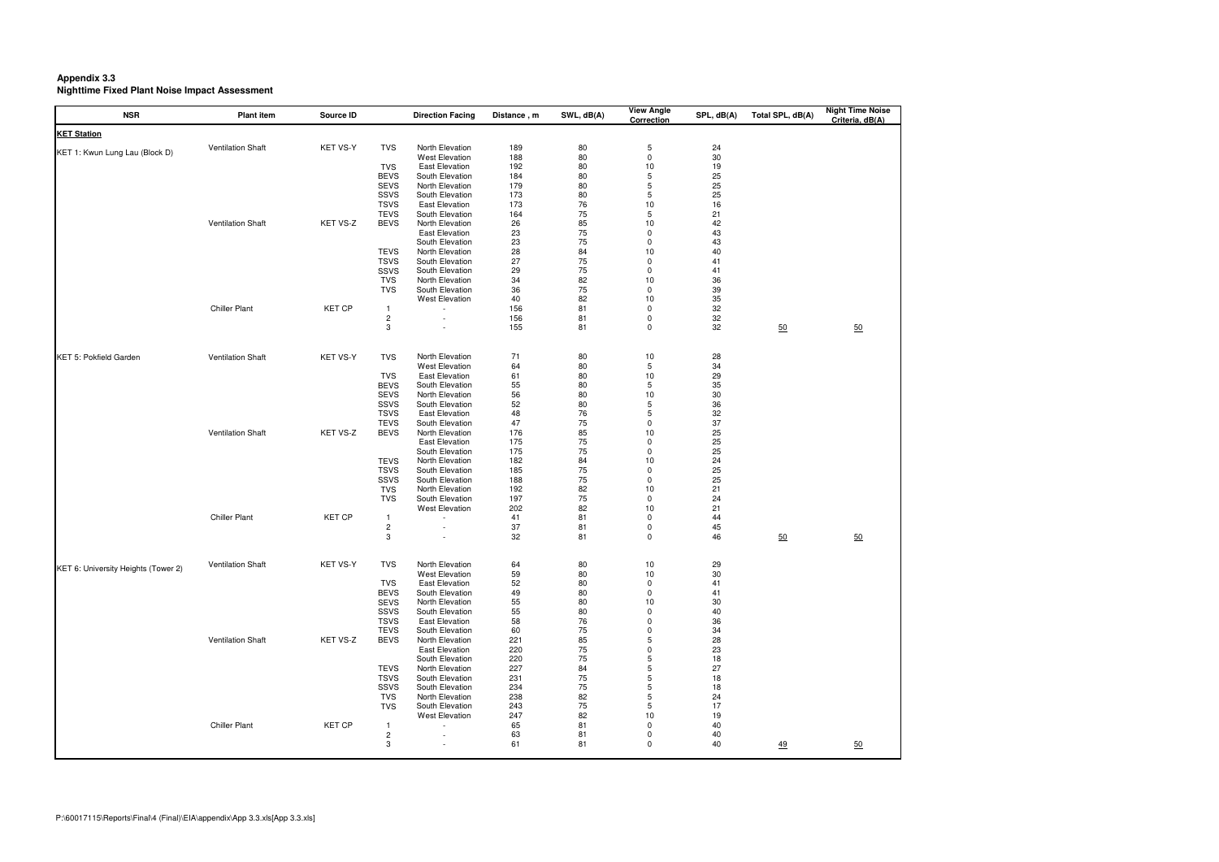**Appendix 3.3 Nighttime Fixed Plant Noise Impact Assessment** 

| <b>NSR</b>                          | <b>Plant item</b>        | Source ID       |                            | <b>Direction Facing</b>                        | Distance, m | SWL, dB(A) | <b>View Angle</b><br><b>Correction</b> | SPL, dB(A) | Total SPL, dB(A) | <b>Night Time Noise</b><br>Criteria, dB(A) |
|-------------------------------------|--------------------------|-----------------|----------------------------|------------------------------------------------|-------------|------------|----------------------------------------|------------|------------------|--------------------------------------------|
| <b>KET Station</b>                  |                          |                 |                            |                                                |             |            |                                        |            |                  |                                            |
| KET 1: Kwun Lung Lau (Block D)      | <b>Ventilation Shaft</b> | <b>KET VS-Y</b> | <b>TVS</b>                 | North Elevation                                | 189         | 80         | 5                                      | 24         |                  |                                            |
|                                     |                          |                 | <b>TVS</b>                 | <b>West Elevation</b><br><b>East Elevation</b> | 188<br>192  | 80<br>80   | $\pmb{0}$<br>$10$                      | 30<br>19   |                  |                                            |
|                                     |                          |                 | <b>BEVS</b>                | South Elevation                                | 184         | 80         | 5                                      | 25         |                  |                                            |
|                                     |                          |                 | <b>SEVS</b>                | North Elevation                                | 179         | 80         | 5                                      | 25         |                  |                                            |
|                                     |                          |                 | SSVS                       | South Elevation                                | 173         | 80         | 5                                      | 25         |                  |                                            |
|                                     |                          |                 | <b>TSVS</b>                | <b>East Elevation</b>                          | 173         | 76         | 10                                     | 16         |                  |                                            |
|                                     | <b>Ventilation Shaft</b> | KET VS-Z        | <b>TEVS</b><br><b>BEVS</b> | South Elevation<br>North Elevation             | 164<br>26   | 75<br>85   | 5<br>10                                | 21<br>42   |                  |                                            |
|                                     |                          |                 |                            | <b>East Elevation</b>                          | 23          | 75         | $\mathbf 0$                            | 43         |                  |                                            |
|                                     |                          |                 |                            | South Elevation                                | 23          | 75         | $\mathbf 0$                            | 43         |                  |                                            |
|                                     |                          |                 | <b>TEVS</b>                | North Elevation                                | 28          | 84         | 10                                     | 40         |                  |                                            |
|                                     |                          |                 | <b>TSVS</b>                | South Elevation                                | 27          | 75         | 0<br>0                                 | 41<br>41   |                  |                                            |
|                                     |                          |                 | SSVS<br><b>TVS</b>         | South Elevation<br>North Elevation             | 29<br>34    | 75<br>82   | 10                                     | 36         |                  |                                            |
|                                     |                          |                 | <b>TVS</b>                 | South Elevation                                | 36          | 75         | $\mathbf 0$                            | 39         |                  |                                            |
|                                     |                          |                 |                            | <b>West Elevation</b>                          | 40          | 82         | 10                                     | 35         |                  |                                            |
|                                     | <b>Chiller Plant</b>     | <b>KET CP</b>   |                            |                                                | 156         | 81         | $\mathbf 0$                            | 32         |                  |                                            |
|                                     |                          |                 | $\sqrt{2}$                 |                                                | 156         | 81         | 0                                      | 32         |                  |                                            |
|                                     |                          |                 | 3                          |                                                | 155         | 81         | $\mathbf 0$                            | 32         | 50               | 50                                         |
| <b>KET 5: Pokfield Garden</b>       | <b>Ventilation Shaft</b> | <b>KET VS-Y</b> | <b>TVS</b>                 | North Elevation                                | 71          | 80         | 10                                     | 28         |                  |                                            |
|                                     |                          |                 |                            | <b>West Elevation</b>                          | 64          | 80         | 5                                      | 34         |                  |                                            |
|                                     |                          |                 | <b>TVS</b>                 | <b>East Elevation</b>                          | 61          | 80         | $10$                                   | 29         |                  |                                            |
|                                     |                          |                 | <b>BEVS</b><br><b>SEVS</b> | South Elevation<br>North Elevation             | 55<br>56    | 80<br>80   | 5<br>10                                | 35<br>30   |                  |                                            |
|                                     |                          |                 | SSVS                       | South Elevation                                | 52          | 80         | 5                                      | 36         |                  |                                            |
|                                     |                          |                 | <b>TSVS</b>                | <b>East Elevation</b>                          | 48          | 76         | 5                                      | 32         |                  |                                            |
|                                     |                          |                 | <b>TEVS</b>                | South Elevation                                | 47          | 75         | $\mathbf 0$                            | 37         |                  |                                            |
|                                     | <b>Ventilation Shaft</b> | KET VS-Z        | <b>BEVS</b>                | North Elevation                                | 176         | 85         | 10                                     | 25         |                  |                                            |
|                                     |                          |                 |                            | <b>East Elevation</b><br>South Elevation       | 175<br>175  | 75         | 0<br>0                                 | 25         |                  |                                            |
|                                     |                          |                 | <b>TEVS</b>                | North Elevation                                | 182         | 75<br>84   | 10                                     | 25<br>24   |                  |                                            |
|                                     |                          |                 | <b>TSVS</b>                | South Elevation                                | 185         | 75         | $\mathbf 0$                            | 25         |                  |                                            |
|                                     |                          |                 | SSVS                       | South Elevation                                | 188         | 75         | $\mathbf 0$                            | 25         |                  |                                            |
|                                     |                          |                 | <b>TVS</b>                 | North Elevation                                | 192         | 82         | 10                                     | 21         |                  |                                            |
|                                     |                          |                 | <b>TVS</b>                 | South Elevation                                | 197         | 75         | $\mathbf 0$                            | 24         |                  |                                            |
|                                     | <b>Chiller Plant</b>     | <b>KET CP</b>   | -1                         | <b>West Elevation</b>                          | 202<br>41   | 82<br>81   | 10<br>$\Omega$                         | 21<br>44   |                  |                                            |
|                                     |                          |                 | $\overline{c}$             |                                                | 37          | 81         | $\pmb{0}$                              | 45         |                  |                                            |
|                                     |                          |                 | 3                          |                                                | 32          | 81         | $\Omega$                               | 46         | $50\,$           | 50                                         |
|                                     | <b>Ventilation Shaft</b> | KET VS-Y        | <b>TVS</b>                 | North Elevation                                | 64          | 80         | 10                                     | 29         |                  |                                            |
| KET 6: University Heights (Tower 2) |                          |                 |                            | <b>West Elevation</b>                          | 59          | 80         | 10                                     | 30         |                  |                                            |
|                                     |                          |                 | <b>TVS</b>                 | <b>East Elevation</b>                          | 52          | 80         | 0                                      | 41         |                  |                                            |
|                                     |                          |                 | <b>BEVS</b>                | South Elevation                                | 49          | 80         | $\mathbf 0$                            | 41         |                  |                                            |
|                                     |                          |                 | <b>SEVS</b><br>SSVS        | North Elevation<br>South Elevation             | 55<br>55    | 80<br>80   | 10<br>0                                | 30<br>40   |                  |                                            |
|                                     |                          |                 | <b>TSVS</b>                | East Elevation                                 | 58          | 76         | $\Omega$                               | 36         |                  |                                            |
|                                     |                          |                 | <b>TEVS</b>                | South Elevation                                | 60          | 75         | $\Omega$                               | 34         |                  |                                            |
|                                     | <b>Ventilation Shaft</b> | KET VS-Z        | <b>BEVS</b>                | North Elevation                                | 221         | 85         | 5                                      | 28         |                  |                                            |
|                                     |                          |                 |                            | East Elevation                                 | 220         | 75         | $\Omega$                               | 23         |                  |                                            |
|                                     |                          |                 |                            | South Elevation                                | 220         | $75\,$     | 5                                      | 18         |                  |                                            |
|                                     |                          |                 | <b>TEVS</b><br><b>TSVS</b> | North Elevation<br>South Elevation             | 227<br>231  | 84<br>75   | 5<br>5                                 | 27<br>18   |                  |                                            |
|                                     |                          |                 | SSVS                       | South Elevation                                | 234         | 75         | 5                                      | 18         |                  |                                            |
|                                     |                          |                 | <b>TVS</b>                 | North Elevation                                | 238         | 82         | 5                                      | 24         |                  |                                            |
|                                     |                          |                 | <b>TVS</b>                 | South Elevation                                | 243         | 75         | 5                                      | 17         |                  |                                            |
|                                     |                          |                 |                            | <b>West Elevation</b>                          | 247         | 82         | 10                                     | 19         |                  |                                            |
|                                     | <b>Chiller Plant</b>     | <b>KET CP</b>   | -1<br>$\sqrt{2}$           |                                                | 65<br>63    | 81<br>81   | $\Omega$<br>0                          | 40<br>40   |                  |                                            |
|                                     |                          |                 | 3                          |                                                | 61          | 81         | 0                                      | 40         | $\frac{49}{2}$   | $\underline{50}$                           |
|                                     |                          |                 |                            |                                                |             |            |                                        |            |                  |                                            |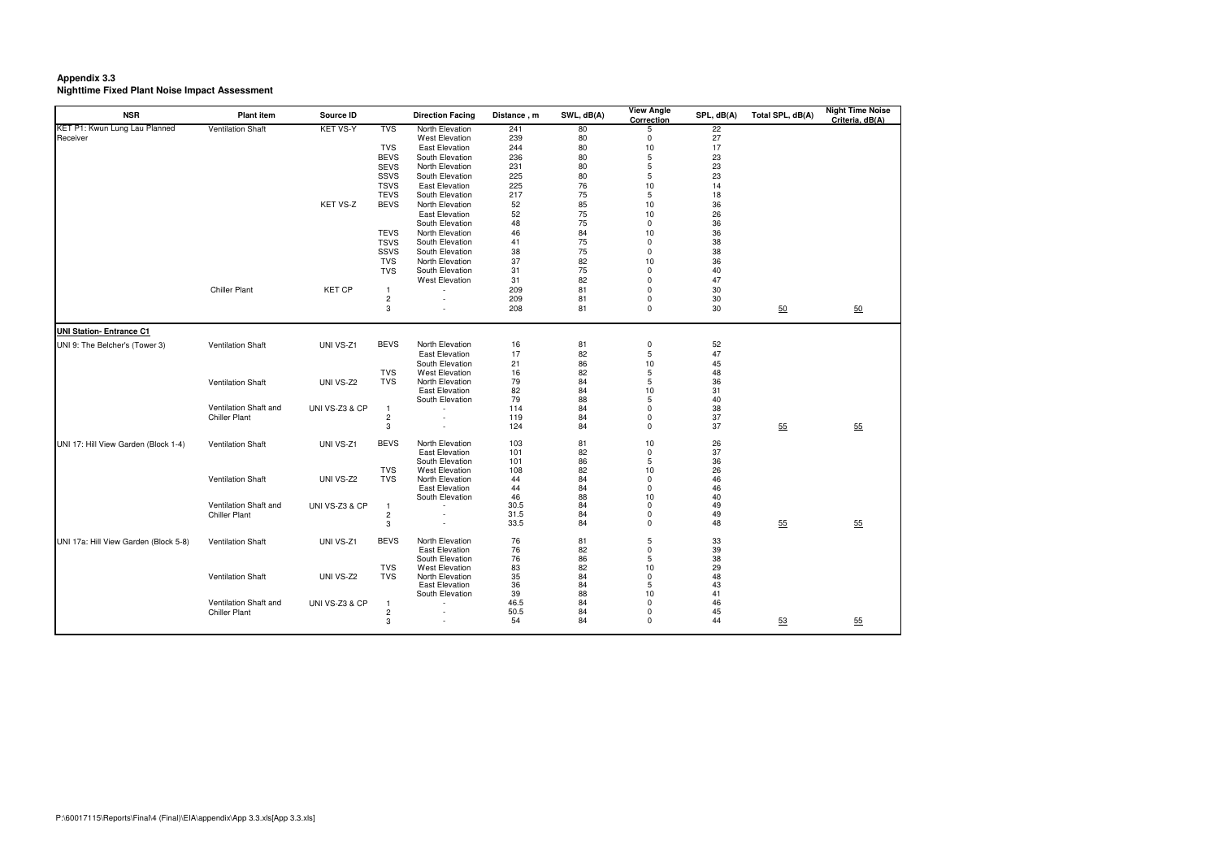**Appendix 3.3 Nighttime Fixed Plant Noise Impact Assessment** 

| <b>KET VS-Y</b><br><b>Ventilation Shaft</b><br><b>TVS</b><br>$\overline{22}$<br>North Elevation<br>241<br>80<br>5<br>239<br>27<br>Receiver<br><b>West Elevation</b><br>80<br>$\mathbf 0$<br>17<br><b>TVS</b><br><b>East Elevation</b><br>244<br>80<br>10<br><b>BEVS</b><br>South Elevation<br>236<br>80<br>5<br>23<br>23<br>5<br><b>SEVS</b><br><b>North Elevation</b><br>231<br>80<br>23<br>SSVS<br>South Elevation<br>225<br>80<br>5<br><b>TSVS</b><br>225<br>76<br><b>East Elevation</b><br>10<br>14<br>75<br><b>TEVS</b><br>217<br>5<br>18<br>South Elevation<br>KET VS-Z<br><b>BEVS</b><br>North Elevation<br>52<br>85<br>10<br>36<br>52<br>75<br>26<br><b>East Elevation</b><br>10<br>75<br>36<br>South Elevation<br>48<br>$\mathbf 0$<br><b>TEVS</b><br>North Elevation<br>46<br>84<br>10<br>36<br><b>TSVS</b><br>75<br>38<br>South Elevation<br>41<br>$\mathbf 0$<br>75<br>38<br>SSVS<br>South Elevation<br>38<br>$\mathbf 0$<br><b>TVS</b><br>37<br>82<br>36<br><b>North Elevation</b><br>10<br><b>TVS</b><br>South Elevation<br>75<br>40<br>31<br>$\mathbf 0$<br>47<br><b>West Elevation</b><br>82<br>31<br>$\Omega$<br><b>Chiller Plant</b><br><b>KET CP</b><br>209<br>30<br>81<br>$\Omega$<br>$\overline{1}$<br>$\overline{c}$<br>209<br>30<br>81<br>$\mathbf 0$<br>$\mathbf{3}$<br>208<br>30<br>81<br>0<br>50<br>50<br><b>UNI Station- Entrance C1</b><br>UNI 9: The Belcher's (Tower 3)<br><b>Ventilation Shaft</b><br>UNI VS-Z1<br><b>BEVS</b><br><b>North Elevation</b><br>81<br>0<br>52<br>16<br>47<br>82<br>$\mathbf 5$<br><b>East Elevation</b><br>17<br>45<br>South Elevation<br>21<br>86<br>10<br><b>West Elevation</b><br>82<br>5<br>48<br>TVS<br>16<br><b>TVS</b><br>79<br>84<br>5<br>36<br><b>Ventilation Shaft</b><br>UNI VS-Z2<br>North Elevation<br><b>East Elevation</b><br>82<br>10<br>31<br>84<br>South Elevation<br>79<br>88<br>40<br>5<br>Ventilation Shaft and<br>38<br>UNI VS-Z3 & CP<br>114<br>84<br>$\mathbf 0$<br>-1<br>37<br>$\overline{c}$<br>119<br>84<br>$\Omega$<br><b>Chiller Plant</b><br>124<br>37<br>55<br>55<br>84<br>0<br>3<br>UNI 17: Hill View Garden (Block 1-4)<br><b>Ventilation Shaft</b><br>UNI VS-Z1<br><b>BEVS</b><br><b>North Elevation</b><br>103<br>81<br>10<br>26<br>82<br>37<br><b>East Elevation</b><br>101<br>0<br>36<br>South Elevation<br>101<br>86<br>5<br><b>West Elevation</b><br>82<br>26<br>TVS<br>108<br>10<br>North Elevation<br>46<br><b>Ventilation Shaft</b><br>UNI VS-Z2<br><b>TVS</b><br>44<br>84<br>$\mathbf 0$<br><b>East Elevation</b><br>44<br>46<br>84<br>$\Omega$<br>46<br>South Elevation<br>88<br>10<br>40<br>Ventilation Shaft and<br>30.5<br>84<br>49<br>UNI VS-Z3 & CP<br>$\Omega$<br>$\overline{1}$<br>$\overline{c}$<br>31.5<br><b>Chiller Plant</b><br>84<br>$\mathbf 0$<br>49<br>33.5<br>48<br>55<br>55<br>3<br>84<br>$\Omega$<br>$\overline{\phantom{a}}$ | <b>NSR</b>                    | <b>Plant item</b> | Source ID | <b>Direction Facing</b> | Distance, m | SWL, dB(A) | <b>View Angle</b><br>Correction | SPL, dB(A) | Total SPL, dB(A) | <b>Night Time Noise</b><br>Criteria, dB(A) |
|---------------------------------------------------------------------------------------------------------------------------------------------------------------------------------------------------------------------------------------------------------------------------------------------------------------------------------------------------------------------------------------------------------------------------------------------------------------------------------------------------------------------------------------------------------------------------------------------------------------------------------------------------------------------------------------------------------------------------------------------------------------------------------------------------------------------------------------------------------------------------------------------------------------------------------------------------------------------------------------------------------------------------------------------------------------------------------------------------------------------------------------------------------------------------------------------------------------------------------------------------------------------------------------------------------------------------------------------------------------------------------------------------------------------------------------------------------------------------------------------------------------------------------------------------------------------------------------------------------------------------------------------------------------------------------------------------------------------------------------------------------------------------------------------------------------------------------------------------------------------------------------------------------------------------------------------------------------------------------------------------------------------------------------------------------------------------------------------------------------------------------------------------------------------------------------------------------------------------------------------------------------------------------------------------------------------------------------------------------------------------------------------------------------------------------------------------------------------------------------------------------------------------------------------------------------------------------------------------------------------------------------------------------------------------------------------------------------------------------------------------------------------------------------------------------------------------------------------------------|-------------------------------|-------------------|-----------|-------------------------|-------------|------------|---------------------------------|------------|------------------|--------------------------------------------|
|                                                                                                                                                                                                                                                                                                                                                                                                                                                                                                                                                                                                                                                                                                                                                                                                                                                                                                                                                                                                                                                                                                                                                                                                                                                                                                                                                                                                                                                                                                                                                                                                                                                                                                                                                                                                                                                                                                                                                                                                                                                                                                                                                                                                                                                                                                                                                                                                                                                                                                                                                                                                                                                                                                                                                                                                                                                         | KET P1: Kwun Lung Lau Planned |                   |           |                         |             |            |                                 |            |                  |                                            |
|                                                                                                                                                                                                                                                                                                                                                                                                                                                                                                                                                                                                                                                                                                                                                                                                                                                                                                                                                                                                                                                                                                                                                                                                                                                                                                                                                                                                                                                                                                                                                                                                                                                                                                                                                                                                                                                                                                                                                                                                                                                                                                                                                                                                                                                                                                                                                                                                                                                                                                                                                                                                                                                                                                                                                                                                                                                         |                               |                   |           |                         |             |            |                                 |            |                  |                                            |
|                                                                                                                                                                                                                                                                                                                                                                                                                                                                                                                                                                                                                                                                                                                                                                                                                                                                                                                                                                                                                                                                                                                                                                                                                                                                                                                                                                                                                                                                                                                                                                                                                                                                                                                                                                                                                                                                                                                                                                                                                                                                                                                                                                                                                                                                                                                                                                                                                                                                                                                                                                                                                                                                                                                                                                                                                                                         |                               |                   |           |                         |             |            |                                 |            |                  |                                            |
|                                                                                                                                                                                                                                                                                                                                                                                                                                                                                                                                                                                                                                                                                                                                                                                                                                                                                                                                                                                                                                                                                                                                                                                                                                                                                                                                                                                                                                                                                                                                                                                                                                                                                                                                                                                                                                                                                                                                                                                                                                                                                                                                                                                                                                                                                                                                                                                                                                                                                                                                                                                                                                                                                                                                                                                                                                                         |                               |                   |           |                         |             |            |                                 |            |                  |                                            |
|                                                                                                                                                                                                                                                                                                                                                                                                                                                                                                                                                                                                                                                                                                                                                                                                                                                                                                                                                                                                                                                                                                                                                                                                                                                                                                                                                                                                                                                                                                                                                                                                                                                                                                                                                                                                                                                                                                                                                                                                                                                                                                                                                                                                                                                                                                                                                                                                                                                                                                                                                                                                                                                                                                                                                                                                                                                         |                               |                   |           |                         |             |            |                                 |            |                  |                                            |
|                                                                                                                                                                                                                                                                                                                                                                                                                                                                                                                                                                                                                                                                                                                                                                                                                                                                                                                                                                                                                                                                                                                                                                                                                                                                                                                                                                                                                                                                                                                                                                                                                                                                                                                                                                                                                                                                                                                                                                                                                                                                                                                                                                                                                                                                                                                                                                                                                                                                                                                                                                                                                                                                                                                                                                                                                                                         |                               |                   |           |                         |             |            |                                 |            |                  |                                            |
|                                                                                                                                                                                                                                                                                                                                                                                                                                                                                                                                                                                                                                                                                                                                                                                                                                                                                                                                                                                                                                                                                                                                                                                                                                                                                                                                                                                                                                                                                                                                                                                                                                                                                                                                                                                                                                                                                                                                                                                                                                                                                                                                                                                                                                                                                                                                                                                                                                                                                                                                                                                                                                                                                                                                                                                                                                                         |                               |                   |           |                         |             |            |                                 |            |                  |                                            |
|                                                                                                                                                                                                                                                                                                                                                                                                                                                                                                                                                                                                                                                                                                                                                                                                                                                                                                                                                                                                                                                                                                                                                                                                                                                                                                                                                                                                                                                                                                                                                                                                                                                                                                                                                                                                                                                                                                                                                                                                                                                                                                                                                                                                                                                                                                                                                                                                                                                                                                                                                                                                                                                                                                                                                                                                                                                         |                               |                   |           |                         |             |            |                                 |            |                  |                                            |
|                                                                                                                                                                                                                                                                                                                                                                                                                                                                                                                                                                                                                                                                                                                                                                                                                                                                                                                                                                                                                                                                                                                                                                                                                                                                                                                                                                                                                                                                                                                                                                                                                                                                                                                                                                                                                                                                                                                                                                                                                                                                                                                                                                                                                                                                                                                                                                                                                                                                                                                                                                                                                                                                                                                                                                                                                                                         |                               |                   |           |                         |             |            |                                 |            |                  |                                            |
|                                                                                                                                                                                                                                                                                                                                                                                                                                                                                                                                                                                                                                                                                                                                                                                                                                                                                                                                                                                                                                                                                                                                                                                                                                                                                                                                                                                                                                                                                                                                                                                                                                                                                                                                                                                                                                                                                                                                                                                                                                                                                                                                                                                                                                                                                                                                                                                                                                                                                                                                                                                                                                                                                                                                                                                                                                                         |                               |                   |           |                         |             |            |                                 |            |                  |                                            |
|                                                                                                                                                                                                                                                                                                                                                                                                                                                                                                                                                                                                                                                                                                                                                                                                                                                                                                                                                                                                                                                                                                                                                                                                                                                                                                                                                                                                                                                                                                                                                                                                                                                                                                                                                                                                                                                                                                                                                                                                                                                                                                                                                                                                                                                                                                                                                                                                                                                                                                                                                                                                                                                                                                                                                                                                                                                         |                               |                   |           |                         |             |            |                                 |            |                  |                                            |
|                                                                                                                                                                                                                                                                                                                                                                                                                                                                                                                                                                                                                                                                                                                                                                                                                                                                                                                                                                                                                                                                                                                                                                                                                                                                                                                                                                                                                                                                                                                                                                                                                                                                                                                                                                                                                                                                                                                                                                                                                                                                                                                                                                                                                                                                                                                                                                                                                                                                                                                                                                                                                                                                                                                                                                                                                                                         |                               |                   |           |                         |             |            |                                 |            |                  |                                            |
|                                                                                                                                                                                                                                                                                                                                                                                                                                                                                                                                                                                                                                                                                                                                                                                                                                                                                                                                                                                                                                                                                                                                                                                                                                                                                                                                                                                                                                                                                                                                                                                                                                                                                                                                                                                                                                                                                                                                                                                                                                                                                                                                                                                                                                                                                                                                                                                                                                                                                                                                                                                                                                                                                                                                                                                                                                                         |                               |                   |           |                         |             |            |                                 |            |                  |                                            |
|                                                                                                                                                                                                                                                                                                                                                                                                                                                                                                                                                                                                                                                                                                                                                                                                                                                                                                                                                                                                                                                                                                                                                                                                                                                                                                                                                                                                                                                                                                                                                                                                                                                                                                                                                                                                                                                                                                                                                                                                                                                                                                                                                                                                                                                                                                                                                                                                                                                                                                                                                                                                                                                                                                                                                                                                                                                         |                               |                   |           |                         |             |            |                                 |            |                  |                                            |
|                                                                                                                                                                                                                                                                                                                                                                                                                                                                                                                                                                                                                                                                                                                                                                                                                                                                                                                                                                                                                                                                                                                                                                                                                                                                                                                                                                                                                                                                                                                                                                                                                                                                                                                                                                                                                                                                                                                                                                                                                                                                                                                                                                                                                                                                                                                                                                                                                                                                                                                                                                                                                                                                                                                                                                                                                                                         |                               |                   |           |                         |             |            |                                 |            |                  |                                            |
|                                                                                                                                                                                                                                                                                                                                                                                                                                                                                                                                                                                                                                                                                                                                                                                                                                                                                                                                                                                                                                                                                                                                                                                                                                                                                                                                                                                                                                                                                                                                                                                                                                                                                                                                                                                                                                                                                                                                                                                                                                                                                                                                                                                                                                                                                                                                                                                                                                                                                                                                                                                                                                                                                                                                                                                                                                                         |                               |                   |           |                         |             |            |                                 |            |                  |                                            |
|                                                                                                                                                                                                                                                                                                                                                                                                                                                                                                                                                                                                                                                                                                                                                                                                                                                                                                                                                                                                                                                                                                                                                                                                                                                                                                                                                                                                                                                                                                                                                                                                                                                                                                                                                                                                                                                                                                                                                                                                                                                                                                                                                                                                                                                                                                                                                                                                                                                                                                                                                                                                                                                                                                                                                                                                                                                         |                               |                   |           |                         |             |            |                                 |            |                  |                                            |
|                                                                                                                                                                                                                                                                                                                                                                                                                                                                                                                                                                                                                                                                                                                                                                                                                                                                                                                                                                                                                                                                                                                                                                                                                                                                                                                                                                                                                                                                                                                                                                                                                                                                                                                                                                                                                                                                                                                                                                                                                                                                                                                                                                                                                                                                                                                                                                                                                                                                                                                                                                                                                                                                                                                                                                                                                                                         |                               |                   |           |                         |             |            |                                 |            |                  |                                            |
|                                                                                                                                                                                                                                                                                                                                                                                                                                                                                                                                                                                                                                                                                                                                                                                                                                                                                                                                                                                                                                                                                                                                                                                                                                                                                                                                                                                                                                                                                                                                                                                                                                                                                                                                                                                                                                                                                                                                                                                                                                                                                                                                                                                                                                                                                                                                                                                                                                                                                                                                                                                                                                                                                                                                                                                                                                                         |                               |                   |           |                         |             |            |                                 |            |                  |                                            |
|                                                                                                                                                                                                                                                                                                                                                                                                                                                                                                                                                                                                                                                                                                                                                                                                                                                                                                                                                                                                                                                                                                                                                                                                                                                                                                                                                                                                                                                                                                                                                                                                                                                                                                                                                                                                                                                                                                                                                                                                                                                                                                                                                                                                                                                                                                                                                                                                                                                                                                                                                                                                                                                                                                                                                                                                                                                         |                               |                   |           |                         |             |            |                                 |            |                  |                                            |
|                                                                                                                                                                                                                                                                                                                                                                                                                                                                                                                                                                                                                                                                                                                                                                                                                                                                                                                                                                                                                                                                                                                                                                                                                                                                                                                                                                                                                                                                                                                                                                                                                                                                                                                                                                                                                                                                                                                                                                                                                                                                                                                                                                                                                                                                                                                                                                                                                                                                                                                                                                                                                                                                                                                                                                                                                                                         |                               |                   |           |                         |             |            |                                 |            |                  |                                            |
|                                                                                                                                                                                                                                                                                                                                                                                                                                                                                                                                                                                                                                                                                                                                                                                                                                                                                                                                                                                                                                                                                                                                                                                                                                                                                                                                                                                                                                                                                                                                                                                                                                                                                                                                                                                                                                                                                                                                                                                                                                                                                                                                                                                                                                                                                                                                                                                                                                                                                                                                                                                                                                                                                                                                                                                                                                                         |                               |                   |           |                         |             |            |                                 |            |                  |                                            |
|                                                                                                                                                                                                                                                                                                                                                                                                                                                                                                                                                                                                                                                                                                                                                                                                                                                                                                                                                                                                                                                                                                                                                                                                                                                                                                                                                                                                                                                                                                                                                                                                                                                                                                                                                                                                                                                                                                                                                                                                                                                                                                                                                                                                                                                                                                                                                                                                                                                                                                                                                                                                                                                                                                                                                                                                                                                         |                               |                   |           |                         |             |            |                                 |            |                  |                                            |
|                                                                                                                                                                                                                                                                                                                                                                                                                                                                                                                                                                                                                                                                                                                                                                                                                                                                                                                                                                                                                                                                                                                                                                                                                                                                                                                                                                                                                                                                                                                                                                                                                                                                                                                                                                                                                                                                                                                                                                                                                                                                                                                                                                                                                                                                                                                                                                                                                                                                                                                                                                                                                                                                                                                                                                                                                                                         |                               |                   |           |                         |             |            |                                 |            |                  |                                            |
|                                                                                                                                                                                                                                                                                                                                                                                                                                                                                                                                                                                                                                                                                                                                                                                                                                                                                                                                                                                                                                                                                                                                                                                                                                                                                                                                                                                                                                                                                                                                                                                                                                                                                                                                                                                                                                                                                                                                                                                                                                                                                                                                                                                                                                                                                                                                                                                                                                                                                                                                                                                                                                                                                                                                                                                                                                                         |                               |                   |           |                         |             |            |                                 |            |                  |                                            |
|                                                                                                                                                                                                                                                                                                                                                                                                                                                                                                                                                                                                                                                                                                                                                                                                                                                                                                                                                                                                                                                                                                                                                                                                                                                                                                                                                                                                                                                                                                                                                                                                                                                                                                                                                                                                                                                                                                                                                                                                                                                                                                                                                                                                                                                                                                                                                                                                                                                                                                                                                                                                                                                                                                                                                                                                                                                         |                               |                   |           |                         |             |            |                                 |            |                  |                                            |
|                                                                                                                                                                                                                                                                                                                                                                                                                                                                                                                                                                                                                                                                                                                                                                                                                                                                                                                                                                                                                                                                                                                                                                                                                                                                                                                                                                                                                                                                                                                                                                                                                                                                                                                                                                                                                                                                                                                                                                                                                                                                                                                                                                                                                                                                                                                                                                                                                                                                                                                                                                                                                                                                                                                                                                                                                                                         |                               |                   |           |                         |             |            |                                 |            |                  |                                            |
|                                                                                                                                                                                                                                                                                                                                                                                                                                                                                                                                                                                                                                                                                                                                                                                                                                                                                                                                                                                                                                                                                                                                                                                                                                                                                                                                                                                                                                                                                                                                                                                                                                                                                                                                                                                                                                                                                                                                                                                                                                                                                                                                                                                                                                                                                                                                                                                                                                                                                                                                                                                                                                                                                                                                                                                                                                                         |                               |                   |           |                         |             |            |                                 |            |                  |                                            |
|                                                                                                                                                                                                                                                                                                                                                                                                                                                                                                                                                                                                                                                                                                                                                                                                                                                                                                                                                                                                                                                                                                                                                                                                                                                                                                                                                                                                                                                                                                                                                                                                                                                                                                                                                                                                                                                                                                                                                                                                                                                                                                                                                                                                                                                                                                                                                                                                                                                                                                                                                                                                                                                                                                                                                                                                                                                         |                               |                   |           |                         |             |            |                                 |            |                  |                                            |
|                                                                                                                                                                                                                                                                                                                                                                                                                                                                                                                                                                                                                                                                                                                                                                                                                                                                                                                                                                                                                                                                                                                                                                                                                                                                                                                                                                                                                                                                                                                                                                                                                                                                                                                                                                                                                                                                                                                                                                                                                                                                                                                                                                                                                                                                                                                                                                                                                                                                                                                                                                                                                                                                                                                                                                                                                                                         |                               |                   |           |                         |             |            |                                 |            |                  |                                            |
|                                                                                                                                                                                                                                                                                                                                                                                                                                                                                                                                                                                                                                                                                                                                                                                                                                                                                                                                                                                                                                                                                                                                                                                                                                                                                                                                                                                                                                                                                                                                                                                                                                                                                                                                                                                                                                                                                                                                                                                                                                                                                                                                                                                                                                                                                                                                                                                                                                                                                                                                                                                                                                                                                                                                                                                                                                                         |                               |                   |           |                         |             |            |                                 |            |                  |                                            |
|                                                                                                                                                                                                                                                                                                                                                                                                                                                                                                                                                                                                                                                                                                                                                                                                                                                                                                                                                                                                                                                                                                                                                                                                                                                                                                                                                                                                                                                                                                                                                                                                                                                                                                                                                                                                                                                                                                                                                                                                                                                                                                                                                                                                                                                                                                                                                                                                                                                                                                                                                                                                                                                                                                                                                                                                                                                         |                               |                   |           |                         |             |            |                                 |            |                  |                                            |
|                                                                                                                                                                                                                                                                                                                                                                                                                                                                                                                                                                                                                                                                                                                                                                                                                                                                                                                                                                                                                                                                                                                                                                                                                                                                                                                                                                                                                                                                                                                                                                                                                                                                                                                                                                                                                                                                                                                                                                                                                                                                                                                                                                                                                                                                                                                                                                                                                                                                                                                                                                                                                                                                                                                                                                                                                                                         |                               |                   |           |                         |             |            |                                 |            |                  |                                            |
|                                                                                                                                                                                                                                                                                                                                                                                                                                                                                                                                                                                                                                                                                                                                                                                                                                                                                                                                                                                                                                                                                                                                                                                                                                                                                                                                                                                                                                                                                                                                                                                                                                                                                                                                                                                                                                                                                                                                                                                                                                                                                                                                                                                                                                                                                                                                                                                                                                                                                                                                                                                                                                                                                                                                                                                                                                                         |                               |                   |           |                         |             |            |                                 |            |                  |                                            |
|                                                                                                                                                                                                                                                                                                                                                                                                                                                                                                                                                                                                                                                                                                                                                                                                                                                                                                                                                                                                                                                                                                                                                                                                                                                                                                                                                                                                                                                                                                                                                                                                                                                                                                                                                                                                                                                                                                                                                                                                                                                                                                                                                                                                                                                                                                                                                                                                                                                                                                                                                                                                                                                                                                                                                                                                                                                         |                               |                   |           |                         |             |            |                                 |            |                  |                                            |
|                                                                                                                                                                                                                                                                                                                                                                                                                                                                                                                                                                                                                                                                                                                                                                                                                                                                                                                                                                                                                                                                                                                                                                                                                                                                                                                                                                                                                                                                                                                                                                                                                                                                                                                                                                                                                                                                                                                                                                                                                                                                                                                                                                                                                                                                                                                                                                                                                                                                                                                                                                                                                                                                                                                                                                                                                                                         |                               |                   |           |                         |             |            |                                 |            |                  |                                            |
|                                                                                                                                                                                                                                                                                                                                                                                                                                                                                                                                                                                                                                                                                                                                                                                                                                                                                                                                                                                                                                                                                                                                                                                                                                                                                                                                                                                                                                                                                                                                                                                                                                                                                                                                                                                                                                                                                                                                                                                                                                                                                                                                                                                                                                                                                                                                                                                                                                                                                                                                                                                                                                                                                                                                                                                                                                                         |                               |                   |           |                         |             |            |                                 |            |                  |                                            |
|                                                                                                                                                                                                                                                                                                                                                                                                                                                                                                                                                                                                                                                                                                                                                                                                                                                                                                                                                                                                                                                                                                                                                                                                                                                                                                                                                                                                                                                                                                                                                                                                                                                                                                                                                                                                                                                                                                                                                                                                                                                                                                                                                                                                                                                                                                                                                                                                                                                                                                                                                                                                                                                                                                                                                                                                                                                         |                               |                   |           |                         |             |            |                                 |            |                  |                                            |
|                                                                                                                                                                                                                                                                                                                                                                                                                                                                                                                                                                                                                                                                                                                                                                                                                                                                                                                                                                                                                                                                                                                                                                                                                                                                                                                                                                                                                                                                                                                                                                                                                                                                                                                                                                                                                                                                                                                                                                                                                                                                                                                                                                                                                                                                                                                                                                                                                                                                                                                                                                                                                                                                                                                                                                                                                                                         |                               |                   |           |                         |             |            |                                 |            |                  |                                            |
|                                                                                                                                                                                                                                                                                                                                                                                                                                                                                                                                                                                                                                                                                                                                                                                                                                                                                                                                                                                                                                                                                                                                                                                                                                                                                                                                                                                                                                                                                                                                                                                                                                                                                                                                                                                                                                                                                                                                                                                                                                                                                                                                                                                                                                                                                                                                                                                                                                                                                                                                                                                                                                                                                                                                                                                                                                                         |                               |                   |           |                         |             |            |                                 |            |                  |                                            |
|                                                                                                                                                                                                                                                                                                                                                                                                                                                                                                                                                                                                                                                                                                                                                                                                                                                                                                                                                                                                                                                                                                                                                                                                                                                                                                                                                                                                                                                                                                                                                                                                                                                                                                                                                                                                                                                                                                                                                                                                                                                                                                                                                                                                                                                                                                                                                                                                                                                                                                                                                                                                                                                                                                                                                                                                                                                         |                               |                   |           |                         |             |            |                                 |            |                  |                                            |
|                                                                                                                                                                                                                                                                                                                                                                                                                                                                                                                                                                                                                                                                                                                                                                                                                                                                                                                                                                                                                                                                                                                                                                                                                                                                                                                                                                                                                                                                                                                                                                                                                                                                                                                                                                                                                                                                                                                                                                                                                                                                                                                                                                                                                                                                                                                                                                                                                                                                                                                                                                                                                                                                                                                                                                                                                                                         |                               |                   |           |                         |             |            |                                 |            |                  |                                            |
|                                                                                                                                                                                                                                                                                                                                                                                                                                                                                                                                                                                                                                                                                                                                                                                                                                                                                                                                                                                                                                                                                                                                                                                                                                                                                                                                                                                                                                                                                                                                                                                                                                                                                                                                                                                                                                                                                                                                                                                                                                                                                                                                                                                                                                                                                                                                                                                                                                                                                                                                                                                                                                                                                                                                                                                                                                                         |                               |                   |           |                         |             |            |                                 |            |                  |                                            |
| <b>BEVS</b><br>North Elevation<br>76<br>33<br>UNI 17a: Hill View Garden (Block 5-8)<br><b>Ventilation Shaft</b><br>UNI VS-Z1<br>81<br>5                                                                                                                                                                                                                                                                                                                                                                                                                                                                                                                                                                                                                                                                                                                                                                                                                                                                                                                                                                                                                                                                                                                                                                                                                                                                                                                                                                                                                                                                                                                                                                                                                                                                                                                                                                                                                                                                                                                                                                                                                                                                                                                                                                                                                                                                                                                                                                                                                                                                                                                                                                                                                                                                                                                 |                               |                   |           |                         |             |            |                                 |            |                  |                                            |
| <b>East Elevation</b><br>76<br>82<br>$\mathbf 0$<br>39                                                                                                                                                                                                                                                                                                                                                                                                                                                                                                                                                                                                                                                                                                                                                                                                                                                                                                                                                                                                                                                                                                                                                                                                                                                                                                                                                                                                                                                                                                                                                                                                                                                                                                                                                                                                                                                                                                                                                                                                                                                                                                                                                                                                                                                                                                                                                                                                                                                                                                                                                                                                                                                                                                                                                                                                  |                               |                   |           |                         |             |            |                                 |            |                  |                                            |
| 76<br>86<br>38<br>South Elevation<br>5                                                                                                                                                                                                                                                                                                                                                                                                                                                                                                                                                                                                                                                                                                                                                                                                                                                                                                                                                                                                                                                                                                                                                                                                                                                                                                                                                                                                                                                                                                                                                                                                                                                                                                                                                                                                                                                                                                                                                                                                                                                                                                                                                                                                                                                                                                                                                                                                                                                                                                                                                                                                                                                                                                                                                                                                                  |                               |                   |           |                         |             |            |                                 |            |                  |                                            |
| 29<br>TVS<br><b>West Elevation</b><br>83<br>82<br>10                                                                                                                                                                                                                                                                                                                                                                                                                                                                                                                                                                                                                                                                                                                                                                                                                                                                                                                                                                                                                                                                                                                                                                                                                                                                                                                                                                                                                                                                                                                                                                                                                                                                                                                                                                                                                                                                                                                                                                                                                                                                                                                                                                                                                                                                                                                                                                                                                                                                                                                                                                                                                                                                                                                                                                                                    |                               |                   |           |                         |             |            |                                 |            |                  |                                            |
| 35<br>48<br><b>Ventilation Shaft</b><br>UNI VS-Z2<br><b>TVS</b><br>North Elevation<br>84<br>$\mathbf 0$                                                                                                                                                                                                                                                                                                                                                                                                                                                                                                                                                                                                                                                                                                                                                                                                                                                                                                                                                                                                                                                                                                                                                                                                                                                                                                                                                                                                                                                                                                                                                                                                                                                                                                                                                                                                                                                                                                                                                                                                                                                                                                                                                                                                                                                                                                                                                                                                                                                                                                                                                                                                                                                                                                                                                 |                               |                   |           |                         |             |            |                                 |            |                  |                                            |
| 36<br><b>East Elevation</b><br>84<br>5<br>43                                                                                                                                                                                                                                                                                                                                                                                                                                                                                                                                                                                                                                                                                                                                                                                                                                                                                                                                                                                                                                                                                                                                                                                                                                                                                                                                                                                                                                                                                                                                                                                                                                                                                                                                                                                                                                                                                                                                                                                                                                                                                                                                                                                                                                                                                                                                                                                                                                                                                                                                                                                                                                                                                                                                                                                                            |                               |                   |           |                         |             |            |                                 |            |                  |                                            |
| 39<br>South Elevation<br>88<br>10<br>41                                                                                                                                                                                                                                                                                                                                                                                                                                                                                                                                                                                                                                                                                                                                                                                                                                                                                                                                                                                                                                                                                                                                                                                                                                                                                                                                                                                                                                                                                                                                                                                                                                                                                                                                                                                                                                                                                                                                                                                                                                                                                                                                                                                                                                                                                                                                                                                                                                                                                                                                                                                                                                                                                                                                                                                                                 |                               |                   |           |                         |             |            |                                 |            |                  |                                            |
| Ventilation Shaft and<br>46.5<br>84<br>46<br>UNI VS-Z3 & CP<br>$\mathbf 0$<br>$\overline{1}$                                                                                                                                                                                                                                                                                                                                                                                                                                                                                                                                                                                                                                                                                                                                                                                                                                                                                                                                                                                                                                                                                                                                                                                                                                                                                                                                                                                                                                                                                                                                                                                                                                                                                                                                                                                                                                                                                                                                                                                                                                                                                                                                                                                                                                                                                                                                                                                                                                                                                                                                                                                                                                                                                                                                                            |                               |                   |           |                         |             |            |                                 |            |                  |                                            |
| 50.5<br>84<br>45<br><b>Chiller Plant</b><br>$\sqrt{2}$<br>$\Omega$                                                                                                                                                                                                                                                                                                                                                                                                                                                                                                                                                                                                                                                                                                                                                                                                                                                                                                                                                                                                                                                                                                                                                                                                                                                                                                                                                                                                                                                                                                                                                                                                                                                                                                                                                                                                                                                                                                                                                                                                                                                                                                                                                                                                                                                                                                                                                                                                                                                                                                                                                                                                                                                                                                                                                                                      |                               |                   |           |                         |             |            |                                 |            |                  |                                            |
| 54<br>84<br>$\mathbf 0$<br>44<br>53<br>55<br>3                                                                                                                                                                                                                                                                                                                                                                                                                                                                                                                                                                                                                                                                                                                                                                                                                                                                                                                                                                                                                                                                                                                                                                                                                                                                                                                                                                                                                                                                                                                                                                                                                                                                                                                                                                                                                                                                                                                                                                                                                                                                                                                                                                                                                                                                                                                                                                                                                                                                                                                                                                                                                                                                                                                                                                                                          |                               |                   |           |                         |             |            |                                 |            |                  |                                            |